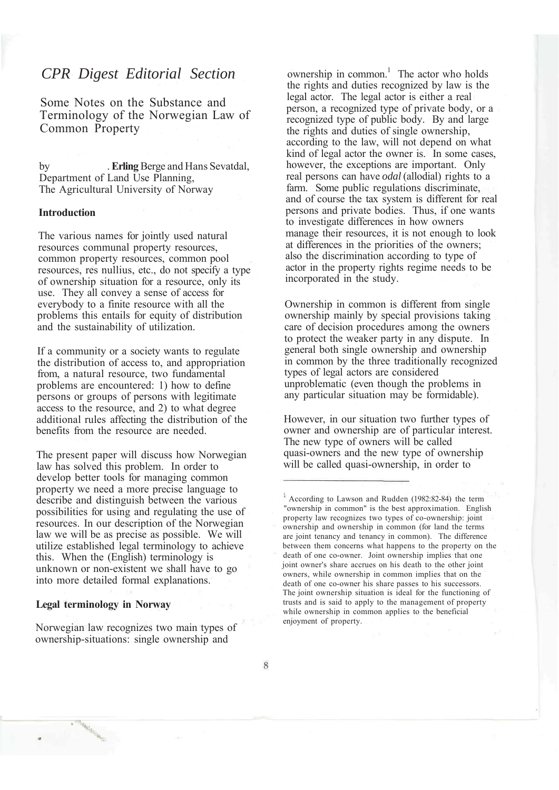# *CPR Digest Editorial Section*

Some Notes on the Substance and Terminology of the Norwegian Law of Common Property

by . **Erling** Berge and Hans Sevatdal, Department of Land Use Planning, The Agricultural University of Norway

## **Introduction**

The various names for jointly used natural resources communal property resources, common property resources, common pool resources, res nullius, etc., do not specify a type of ownership situation for a resource, only its use. They all convey a sense of access for everybody to a finite resource with all the problems this entails for equity of distribution and the sustainability of utilization.

If a community or a society wants to regulate the distribution of access to, and appropriation from, a natural resource, two fundamental problems are encountered: 1) how to define persons or groups of persons with legitimate access to the resource, and 2) to what degree additional rules affecting the distribution of the benefits from the resource are needed.

The present paper will discuss how Norwegian law has solved this problem. In order to develop better tools for managing common property we need a more precise language to describe and distinguish between the various possibilities for using and regulating the use of resources. In our description of the Norwegian law we will be as precise as possible. We will utilize established legal terminology to achieve this. When the (English) terminology is unknown or non-existent we shall have to go into more detailed formal explanations.

#### **Legal terminology in Norway**

Norwegian law recognizes two main types of ownership-situations: single ownership and

ownership in common.<sup>1</sup> The actor who holds the rights and duties recognized by law is the legal actor. The legal actor is either a real person, a recognized type of private body, or a recognized type of public body. By and large the rights and duties of single ownership, according to the law, will not depend on what kind of legal actor the owner is. In some cases, however, the exceptions are important. Only real persons can have *odal* (allodial) rights to a farm. Some public regulations discriminate, and of course the tax system is different for real persons and private bodies. Thus, if one wants to investigate differences in how owners manage their resources, it is not enough to look at differences in the priorities of the owners; also the discrimination according to type of actor in the property rights regime needs to be incorporated in the study.

Ownership in common is different from single ownership mainly by special provisions taking care of decision procedures among the owners to protect the weaker party in any dispute. In general both single ownership and ownership in common by the three traditionally recognized types of legal actors are considered unproblematic (even though the problems in any particular situation may be formidable).

However, in our situation two further types of owner and ownership are of particular interest. The new type of owners will be called quasi-owners and the new type of ownership will be called quasi-ownership, in order to

<sup>&</sup>lt;sup>1</sup> According to Lawson and Rudden (1982:82-84) the term "ownership in common" is the best approximation. English property law recognizes two types of co-ownership: joint ownership and ownership in common (for land the terms are joint tenancy and tenancy in common). The difference between them concerns what happens to the property on the death of one co-owner. Joint ownership implies that one joint owner's share accrues on his death to the other joint owners, while ownership in common implies that on the death of one co-owner his share passes to his successors. The joint ownership situation is ideal for the functioning of trusts and is said to apply to the management of property while ownership in common applies to the beneficial enjoyment of property.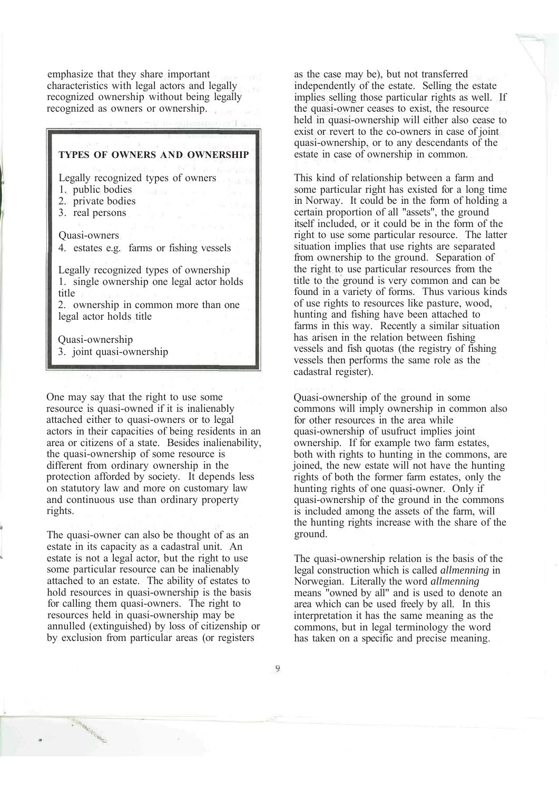emphasize that they share important characteristics with legal actors and legally recognized ownership without being legally recognized as owners or ownership.

# **TYPES OF OWNERS AND OWNERSHIP** Legally recognized types of owners 1. public bodies 2. private bodies 3. real persons Quasi-owners 4. estates e.g. farms or fishing vessels Legally recognized types of ownership 1. single ownership one legal actor holds title 2. ownership in common more than one legal actor holds title Quasi-ownership

One may say that the right to use some resource is quasi-owned if it is inalienably attached either to quasi-owners or to legal actors in their capacities of being residents in an area or citizens of a state. Besides inalienability, the quasi-ownership of some resource is different from ordinary ownership in the protection afforded by society. It depends less on statutory law and more on customary law and continuous use than ordinary property rights.

3. joint quasi-ownership

The quasi-owner can also be thought of as an estate in its capacity as a cadastral unit. An estate is not a legal actor, but the right to use some particular resource can be inalienably attached to an estate. The ability of estates to hold resources in quasi-ownership is the basis for calling them quasi-owners. The right to resources held in quasi-ownership may be annulled (extinguished) by loss of citizenship or by exclusion from particular areas (or registers

as the case may be), but not transferred independently of the estate. Selling the estate implies selling those particular rights as well. If the quasi-owner ceases to exist, the resource held in quasi-ownership will either also cease to exist or revert to the co-owners in case of joint quasi-ownership, or to any descendants of the estate in case of ownership in common.

This kind of relationship between a farm and some particular right has existed for a long time in Norway. It could be in the form of holding a certain proportion of all "assets", the ground itself included, or it could be in the form of the right to use some particular resource. The latter situation implies that use rights are separated from ownership to the ground. Separation of the right to use particular resources from the title to the ground is very common and can be found in a variety of forms. Thus various kinds of use rights to resources like pasture, wood, hunting and fishing have been attached to farms in this way. Recently a similar situation has arisen in the relation between fishing vessels and fish quotas (the registry of fishing vessels then performs the same role as the cadastral register).

Quasi-ownership of the ground in some commons will imply ownership in common also for other resources in the area while quasi-ownership of usufruct implies joint ownership. If for example two farm estates, both with rights to hunting in the commons, are joined, the new estate will not have the hunting rights of both the former farm estates, only the hunting rights of one quasi-owner. Only if quasi-ownership of the ground in the commons is included among the assets of the farm, will the hunting rights increase with the share of the ground.

The quasi-ownership relation is the basis of the legal construction which is called *allmenning* in Norwegian. Literally the word *allmenning* means "owned by all" and is used to denote an area which can be used freely by all. In this interpretation it has the same meaning as the commons, but in legal terminology the word has taken on a specific and precise meaning.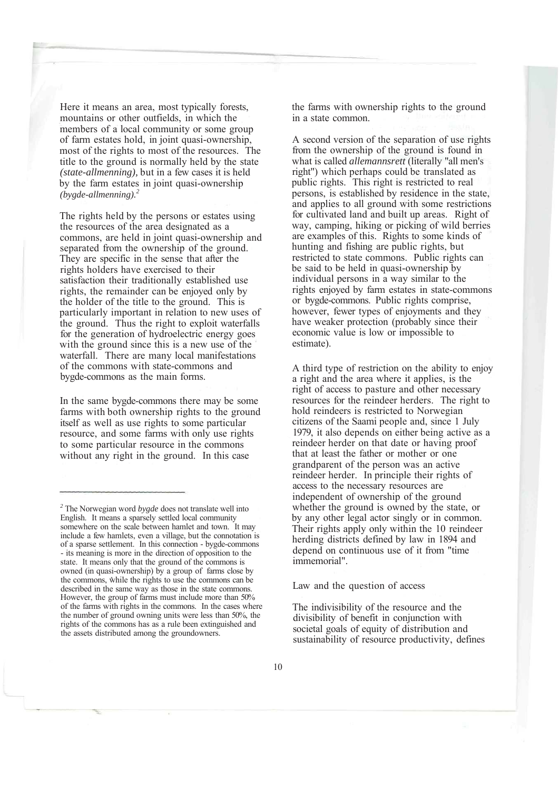Here it means an area, most typically forests, mountains or other outfields, in which the members of a local community or some group of farm estates hold, in joint quasi-ownership, most of the rights to most of the resources. The title to the ground is normally held by the state *(state-allmenning),* but in a few cases it is held by the farm estates in joint quasi-ownership *(bygde-allmenning).2*

The rights held by the persons or estates using the resources of the area designated as a commons, are held in joint quasi-ownership and separated from the ownership of the ground. They are specific in the sense that after the rights holders have exercised to their satisfaction their traditionally established use rights, the remainder can be enjoyed only by the holder of the title to the ground. This is particularly important in relation to new uses of the ground. Thus the right to exploit waterfalls for the generation of hydroelectric energy goes with the ground since this is a new use of the waterfall. There are many local manifestations of the commons with state-commons and bygde-commons as the main forms.

In the same bygde-commons there may be some farms with both ownership rights to the ground itself as well as use rights to some particular resource, and some farms with only use rights to some particular resource in the commons without any right in the ground. In this case

the farms with ownership rights to the ground in a state common.

A second version of the separation of use rights from the ownership of the ground is found in what is called *allemannsrett* (literally "all men's right") which perhaps could be translated as public rights. This right is restricted to real persons, is established by residence in the state, and applies to all ground with some restrictions for cultivated land and built up areas. Right of way, camping, hiking or picking of wild berries are examples of this. Rights to some kinds of hunting and fishing are public rights, but restricted to state commons. Public rights can be said to be held in quasi-ownership by individual persons in a way similar to the rights enjoyed by farm estates in state-commons or bygde-commons. Public rights comprise, however, fewer types of enjoyments and they have weaker protection (probably since their economic value is low or impossible to estimate).

A third type of restriction on the ability to enjoy a right and the area where it applies, is the right of access to pasture and other necessary resources for the reindeer herders. The right to hold reindeers is restricted to Norwegian citizens of the Saami people and, since 1 July 1979, it also depends on either being active as a reindeer herder on that date or having proof that at least the father or mother or one grandparent of the person was an active reindeer herder. In principle their rights of access to the necessary resources are independent of ownership of the ground whether the ground is owned by the state, or by any other legal actor singly or in common. Their rights apply only within the 10 reindeer herding districts defined by law in 1894 and depend on continuous use of it from "time immemorial".

Law and the question of access

The indivisibility of the resource and the divisibility of benefit in conjunction with societal goals of equity of distribution and sustainability of resource productivity, defines

*<sup>2</sup>* The Norwegian word *bygde* does not translate well into English. It means a sparsely settled local community somewhere on the scale between hamlet and town. It may include a few hamlets, even a village, but the connotation is of a sparse settlement. In this connection - bygde-commons - its meaning is more in the direction of opposition to the state. It means only that the ground of the commons is owned (in quasi-ownership) by a group of farms close by the commons, while the rights to use the commons can be described in the same way as those in the state commons. However, the group of farms must include more than 50% of the farms with rights in the commons. In the cases where the number of ground owning units were less than 50%, the rights of the commons has as a rule been extinguished and the assets distributed among the groundowners.